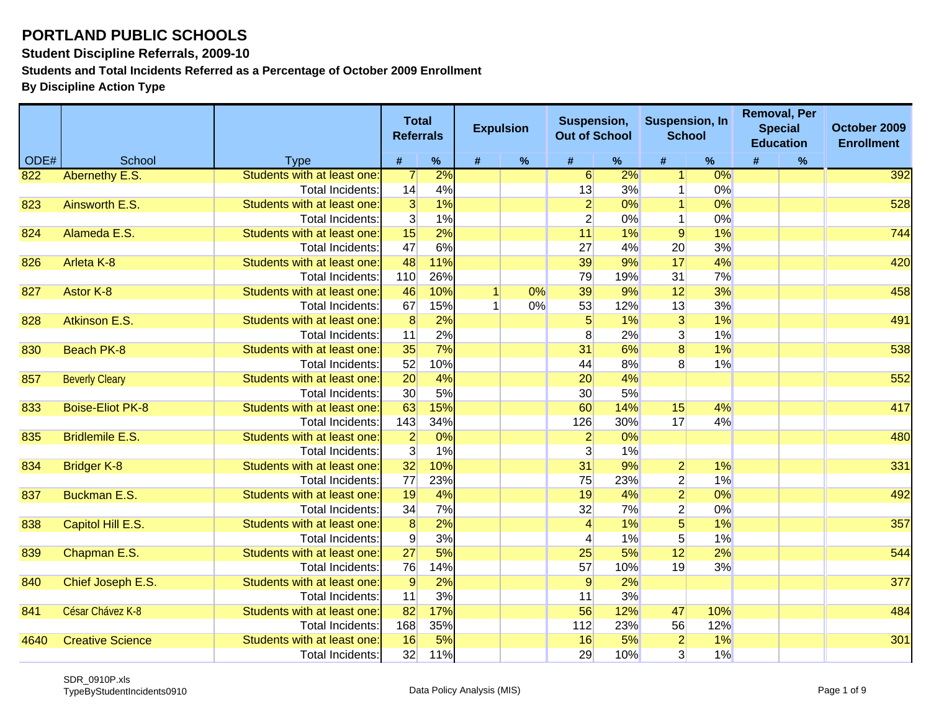**Student Discipline Referrals, 2009-10**

**Students and Total Incidents Referred as a Percentage of October 2009 Enrollment**

|      |                         |                             |                 | <b>Total</b><br><b>Referrals</b> | <b>Expulsion</b> |      | Suspension,<br><b>Out of School</b> |     | <b>Suspension, In</b><br><b>School</b> |       | <b>Removal, Per</b><br><b>Special</b><br><b>Education</b> |      | October 2009<br><b>Enrollment</b> |
|------|-------------------------|-----------------------------|-----------------|----------------------------------|------------------|------|-------------------------------------|-----|----------------------------------------|-------|-----------------------------------------------------------|------|-----------------------------------|
| ODE# | School                  | <b>Type</b>                 | $\#$            | $\%$                             | $\#$             | $\%$ | $\pmb{\#}$                          | %   | $\#$                                   | %     | $\#$                                                      | $\%$ |                                   |
| 822  | Abernethy E.S.          | Students with at least one: | $\overline{7}$  | 2%                               |                  |      | 6                                   | 2%  | $\mathbf{1}$                           | $0\%$ |                                                           |      | 392                               |
|      |                         | <b>Total Incidents:</b>     | 14              | 4%                               |                  |      | 13                                  | 3%  |                                        | 0%    |                                                           |      |                                   |
| 823  | Ainsworth E.S.          | Students with at least one: | 3               | 1%                               |                  |      | $\overline{2}$                      | 0%  |                                        | 0%    |                                                           |      | 528                               |
|      |                         | <b>Total Incidents:</b>     | 3 <sup>l</sup>  | 1%                               |                  |      | $\overline{2}$                      | 0%  | $\mathbf{1}$                           | 0%    |                                                           |      |                                   |
| 824  | Alameda E.S.            | Students with at least one: | 15              | 2%                               |                  |      | 11                                  | 1%  | 9                                      | 1%    |                                                           |      | 744                               |
|      |                         | Total Incidents:            | 47              | 6%                               |                  |      | 27                                  | 4%  | 20                                     | 3%    |                                                           |      |                                   |
| 826  | Arleta K-8              | Students with at least one: | 48              | 11%                              |                  |      | 39                                  | 9%  | 17                                     | 4%    |                                                           |      | 420                               |
|      |                         | <b>Total Incidents</b>      | 110             | 26%                              |                  |      | 79                                  | 19% | 31                                     | 7%    |                                                           |      |                                   |
| 827  | Astor K-8               | Students with at least one: | 46              | 10%                              |                  | 0%   | 39                                  | 9%  | 12                                     | 3%    |                                                           |      | 458                               |
|      |                         | Total Incidents:            | 67              | 15%                              |                  | 0%   | 53                                  | 12% | 13                                     | 3%    |                                                           |      |                                   |
| 828  | Atkinson E.S.           | Students with at least one: | $\overline{8}$  | 2%                               |                  |      | 5                                   | 1%  | 3                                      | 1%    |                                                           |      | 491                               |
|      |                         | Total Incidents:            | 11              | 2%                               |                  |      | 8                                   | 2%  | 3 <sup>2</sup>                         | 1%    |                                                           |      |                                   |
| 830  | <b>Beach PK-8</b>       | Students with at least one: | 35              | 7%                               |                  |      | 31                                  | 6%  | $\overline{8}$                         | 1%    |                                                           |      | 538                               |
|      |                         | Total Incidents:            | 52              | 10%                              |                  |      | 44                                  | 8%  | 8 <sup>°</sup>                         | 1%    |                                                           |      |                                   |
| 857  | <b>Beverly Cleary</b>   | Students with at least one: | 20              | 4%                               |                  |      | 20                                  | 4%  |                                        |       |                                                           |      | 552                               |
|      |                         | Total Incidents:            | 30 <sup>°</sup> | 5%                               |                  |      | 30 <sup>°</sup>                     | 5%  |                                        |       |                                                           |      |                                   |
| 833  | <b>Boise-Eliot PK-8</b> | Students with at least one: | 63              | 15%                              |                  |      | 60                                  | 14% | 15                                     | 4%    |                                                           |      | 417                               |
|      |                         | Total Incidents:            | 143             | 34%                              |                  |      | 126                                 | 30% | 17                                     | 4%    |                                                           |      |                                   |
| 835  | <b>Bridlemile E.S.</b>  | Students with at least one: | $\frac{2}{3}$   | 0%                               |                  |      | $\overline{2}$                      | 0%  |                                        |       |                                                           |      | 480                               |
|      |                         | <b>Total Incidents:</b>     |                 | 1%                               |                  |      | $\mathbf{3}$                        | 1%  |                                        |       |                                                           |      |                                   |
| 834  | <b>Bridger K-8</b>      | Students with at least one: | 32              | 10%                              |                  |      | 31                                  | 9%  | $\overline{2}$                         | 1%    |                                                           |      | 331                               |
|      |                         | <b>Total Incidents:</b>     | 77              | 23%                              |                  |      | 75                                  | 23% | $\overline{2}$                         | 1%    |                                                           |      |                                   |
| 837  | <b>Buckman E.S.</b>     | Students with at least one: | 19              | 4%                               |                  |      | 19                                  | 4%  | $\overline{2}$                         | 0%    |                                                           |      | 492                               |
|      |                         | <b>Total Incidents:</b>     | 34              | 7%                               |                  |      | 32                                  | 7%  | $\overline{2}$                         | 0%    |                                                           |      |                                   |
| 838  | Capitol Hill E.S.       | Students with at least one: | $\overline{8}$  | 2%                               |                  |      | $\overline{4}$                      | 1%  | $\overline{5}$                         | 1%    |                                                           |      | 357                               |
|      |                         | Total Incidents:            | $\overline{9}$  | 3%                               |                  |      | 4                                   | 1%  | 5 <sup>5</sup>                         | 1%    |                                                           |      |                                   |
| 839  | Chapman E.S.            | Students with at least one: | 27              | 5%                               |                  |      | 25                                  | 5%  | 12                                     | 2%    |                                                           |      | 544                               |
|      |                         | <b>Total Incidents:</b>     | 76              | 14%                              |                  |      | 57                                  | 10% | 19                                     | 3%    |                                                           |      |                                   |
| 840  | Chief Joseph E.S.       | Students with at least one: | 9               | 2%                               |                  |      | $\overline{9}$                      | 2%  |                                        |       |                                                           |      | 377                               |
|      |                         | Total Incidents:            | 11              | 3%                               |                  |      | 11                                  | 3%  |                                        |       |                                                           |      |                                   |
| 841  | César Chávez K-8        | Students with at least one: | 82              | 17%                              |                  |      | 56                                  | 12% | 47                                     | 10%   |                                                           |      | 484                               |
|      |                         | <b>Total Incidents</b>      | 168             | 35%                              |                  |      | 112                                 | 23% | 56                                     | 12%   |                                                           |      |                                   |
| 4640 | <b>Creative Science</b> | Students with at least one: | 16              | 5%                               |                  |      | 16                                  | 5%  | $\overline{2}$                         | 1%    |                                                           |      | 301                               |
|      |                         | Total Incidents:            | 32              | 11%                              |                  |      | 29                                  | 10% | 3 <sup>1</sup>                         | 1%    |                                                           |      |                                   |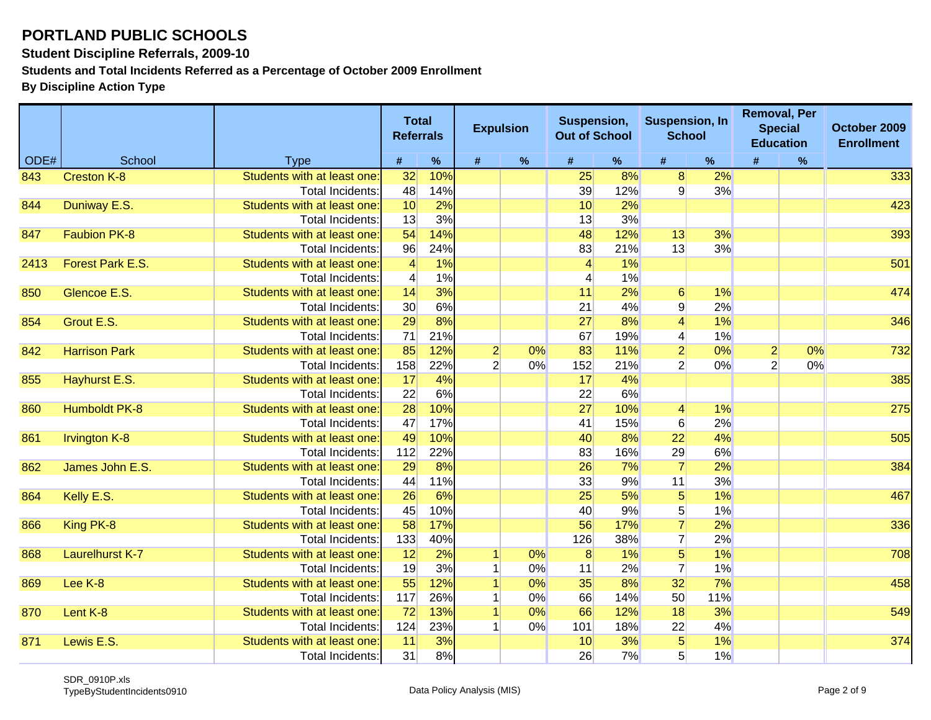**Student Discipline Referrals, 2009-10**

**Students and Total Incidents Referred as a Percentage of October 2009 Enrollment**

|      |                        |                             | <b>Total</b><br><b>Referrals</b> |     |                | <b>Expulsion</b> | Suspension,<br><b>Out of School</b> |      | <b>Suspension, In</b><br><b>School</b> |     |                | <b>Removal, Per</b><br><b>Special</b><br><b>Education</b> | October 2009<br><b>Enrollment</b> |
|------|------------------------|-----------------------------|----------------------------------|-----|----------------|------------------|-------------------------------------|------|----------------------------------------|-----|----------------|-----------------------------------------------------------|-----------------------------------|
| ODE# | School                 | <b>Type</b>                 | #                                | %   | #              | $\%$             | #                                   | $\%$ | #                                      | %   | #              | $\%$                                                      |                                   |
| 843  | <b>Creston K-8</b>     | Students with at least one  | 32                               | 10% |                |                  | 25                                  | 8%   | 8 <sup>1</sup>                         | 2%  |                |                                                           | 333                               |
|      |                        | Total Incidents:            | 48                               | 14% |                |                  | 39                                  | 12%  | $\overline{9}$                         | 3%  |                |                                                           |                                   |
| 844  | Duniway E.S.           | Students with at least one  | 10                               | 2%  |                |                  | 10                                  | 2%   |                                        |     |                |                                                           | 423                               |
|      |                        | Total Incidents:            | 13                               | 3%  |                |                  | 13                                  | 3%   |                                        |     |                |                                                           |                                   |
| 847  | <b>Faubion PK-8</b>    | Students with at least one  | 54                               | 14% |                |                  | 48                                  | 12%  | 13                                     | 3%  |                |                                                           | 393                               |
|      |                        | Total Incidents:            | 96                               | 24% |                |                  | 83                                  | 21%  | 13                                     | 3%  |                |                                                           |                                   |
| 2413 | Forest Park E.S.       | Students with at least one  | $\overline{4}$                   | 1%  |                |                  | $\overline{4}$                      | 1%   |                                        |     |                |                                                           | 501                               |
|      |                        | Total Incidents:            | $\overline{4}$                   | 1%  |                |                  | $\overline{\mathcal{L}}$            | 1%   |                                        |     |                |                                                           |                                   |
| 850  | Glencoe E.S.           | Students with at least one  | 14                               | 3%  |                |                  | 11                                  | 2%   | 6                                      | 1%  |                |                                                           | 474                               |
|      |                        | <b>Total Incidents</b>      | 30 <sup>°</sup>                  | 6%  |                |                  | 21                                  | 4%   | 9                                      | 2%  |                |                                                           |                                   |
| 854  | Grout E.S.             | Students with at least one  | 29                               | 8%  |                |                  | 27                                  | 8%   | $\vert 4 \vert$                        | 1%  |                |                                                           | 346                               |
|      |                        | <b>Total Incidents:</b>     | 71                               | 21% |                |                  | 67                                  | 19%  | $\vert 4 \vert$                        | 1%  |                |                                                           |                                   |
| 842  | <b>Harrison Park</b>   | Students with at least one  | 85                               | 12% | $\overline{2}$ | 0%               | 83                                  | 11%  | $\overline{2}$                         | 0%  | $\overline{2}$ | 0%                                                        | 732                               |
|      |                        | Total Incidents:            | 158                              | 22% | $\overline{2}$ | 0%               | 152                                 | 21%  | $\overline{2}$                         | 0%  | $\overline{2}$ | 0%                                                        |                                   |
| 855  | Hayhurst E.S.          | Students with at least one  | 17                               | 4%  |                |                  | 17                                  | 4%   |                                        |     |                |                                                           | 385                               |
|      |                        | Total Incidents:            | 22                               | 6%  |                |                  | 22                                  | 6%   |                                        |     |                |                                                           |                                   |
| 860  | <b>Humboldt PK-8</b>   | Students with at least one: | 28                               | 10% |                |                  | 27                                  | 10%  | $\vert 4 \vert$                        | 1%  |                |                                                           | 275                               |
|      |                        | <b>Total Incidents:</b>     | 47                               | 17% |                |                  | 41                                  | 15%  | 6                                      | 2%  |                |                                                           |                                   |
| 861  | <b>Irvington K-8</b>   | Students with at least one  | 49                               | 10% |                |                  | 40                                  | 8%   | 22                                     | 4%  |                |                                                           | 505                               |
|      |                        | <b>Total Incidents</b>      | 112                              | 22% |                |                  | 83                                  | 16%  | 29                                     | 6%  |                |                                                           |                                   |
| 862  | James John E.S.        | Students with at least one: | 29                               | 8%  |                |                  | 26                                  | 7%   | $\overline{7}$                         | 2%  |                |                                                           | 384                               |
|      |                        | Total Incidents:            | 44                               | 11% |                |                  | 33                                  | 9%   | 11                                     | 3%  |                |                                                           |                                   |
| 864  | Kelly E.S.             | Students with at least one: | 26                               | 6%  |                |                  | 25                                  | 5%   | 5 <sup>1</sup>                         | 1%  |                |                                                           | 467                               |
|      |                        | Total Incidents:            | 45                               | 10% |                |                  | 40                                  | 9%   | 5 <sup>2</sup>                         | 1%  |                |                                                           |                                   |
| 866  | King PK-8              | Students with at least one  | 58                               | 17% |                |                  | 56                                  | 17%  | $\overline{7}$                         | 2%  |                |                                                           | 336                               |
|      |                        | <b>Total Incidents</b>      | 133                              | 40% |                |                  | 126                                 | 38%  | $\mathbf{7}$                           | 2%  |                |                                                           |                                   |
| 868  | <b>Laurelhurst K-7</b> | Students with at least one  | 12                               | 2%  |                | 0%               | 8                                   | 1%   | 5 <sup>1</sup>                         | 1%  |                |                                                           | 708                               |
|      |                        | <b>Total Incidents:</b>     | 19                               | 3%  |                | 0%               | 11                                  | 2%   | $\overline{7}$                         | 1%  |                |                                                           |                                   |
| 869  | Lee K-8                | Students with at least one  | 55                               | 12% |                | 0%               | 35                                  | 8%   | 32                                     | 7%  |                |                                                           | 458                               |
|      |                        | <b>Total Incidents</b>      | 117                              | 26% |                | 0%               | 66                                  | 14%  | 50                                     | 11% |                |                                                           |                                   |
| 870  | Lent K-8               | Students with at least one  | 72                               | 13% |                | 0%               | 66                                  | 12%  | 18                                     | 3%  |                |                                                           | 549                               |
|      |                        | Total Incidents             | 124                              | 23% |                | 0%               | 101                                 | 18%  | 22                                     | 4%  |                |                                                           |                                   |
| 871  | Lewis E.S.             | Students with at least one: | 11                               | 3%  |                |                  | 10                                  | 3%   | 5 <sub>5</sub>                         | 1%  |                |                                                           | 374                               |
|      |                        | Total Incidents:            | 31                               | 8%  |                |                  | 26                                  | 7%   | 5                                      | 1%  |                |                                                           |                                   |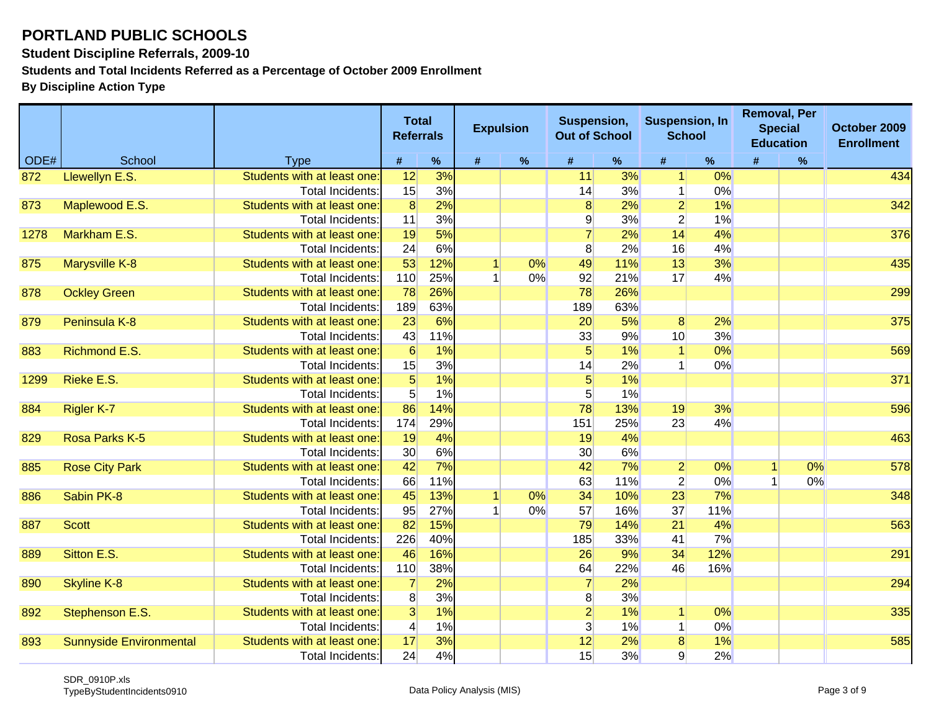**Student Discipline Referrals, 2009-10**

**Students and Total Incidents Referred as a Percentage of October 2009 Enrollment**

|      |                                |                            | <b>Total</b><br><b>Referrals</b> |      | <b>Expulsion</b> |       | Suspension,<br><b>Out of School</b> |     | <b>Suspension, In</b><br><b>School</b> |      |   | <b>Removal, Per</b><br><b>Special</b><br><b>Education</b> | October 2009<br><b>Enrollment</b> |
|------|--------------------------------|----------------------------|----------------------------------|------|------------------|-------|-------------------------------------|-----|----------------------------------------|------|---|-----------------------------------------------------------|-----------------------------------|
| ODE# | School                         | <b>Type</b>                | #                                | $\%$ | #                | $\%$  | #                                   | %   | #                                      | $\%$ | # | $\%$                                                      |                                   |
| 872  | Llewellyn E.S.                 | Students with at least one | 12                               | 3%   |                  |       | 11                                  | 3%  | $\vert$                                | 0%   |   |                                                           | 434                               |
|      |                                | Total Incidents:           | 15                               | 3%   |                  |       | 14                                  | 3%  | $\mathbf{1}$                           | 0%   |   |                                                           |                                   |
| 873  | Maplewood E.S.                 | Students with at least one | $\overline{8}$                   | 2%   |                  |       | 8                                   | 2%  | $\overline{2}$                         | 1%   |   |                                                           | 342                               |
|      |                                | <b>Total Incidents:</b>    | 11                               | 3%   |                  |       | $\overline{9}$                      | 3%  | $\overline{2}$                         | 1%   |   |                                                           |                                   |
| 1278 | Markham E.S.                   | Students with at least one | 19                               | 5%   |                  |       |                                     | 2%  | 14                                     | 4%   |   |                                                           | 376                               |
|      |                                | Total Incidents:           | 24                               | 6%   |                  |       | 8                                   | 2%  | 16                                     | 4%   |   |                                                           |                                   |
| 875  | <b>Marysville K-8</b>          | Students with at least one | 53                               | 12%  |                  | 0%    | 49                                  | 11% | 13                                     | 3%   |   |                                                           | 435                               |
|      |                                | Total Incidents:           | 110                              | 25%  |                  | 0%    | 92                                  | 21% | 17                                     | 4%   |   |                                                           |                                   |
| 878  | <b>Ockley Green</b>            | Students with at least one | 78                               | 26%  |                  |       | 78                                  | 26% |                                        |      |   |                                                           | 299                               |
|      |                                | Total Incidents:           | 189                              | 63%  |                  |       | 189                                 | 63% |                                        |      |   |                                                           |                                   |
| 879  | Peninsula K-8                  | Students with at least one | 23                               | 6%   |                  |       | 20                                  | 5%  | 8                                      | 2%   |   |                                                           | 375                               |
|      |                                | Total Incidents:           | 43                               | 11%  |                  |       | 33                                  | 9%  | 10 <sup>1</sup>                        | 3%   |   |                                                           |                                   |
| 883  | <b>Richmond E.S.</b>           | Students with at least one | 6                                | 1%   |                  |       | $5\overline{)}$                     | 1%  |                                        | 0%   |   |                                                           | 569                               |
|      |                                | Total Incidents:           | 15                               | 3%   |                  |       | 14                                  | 2%  |                                        | 0%   |   |                                                           |                                   |
| 1299 | Rieke E.S.                     | Students with at least one | $\overline{5}$                   | 1%   |                  |       | $\overline{5}$                      | 1%  |                                        |      |   |                                                           | 371                               |
|      |                                | Total Incidents:           | 5 <sup>5</sup>                   | 1%   |                  |       | 5 <sup>1</sup>                      | 1%  |                                        |      |   |                                                           |                                   |
| 884  | Rigler K-7                     | Students with at least one | 86                               | 14%  |                  |       | 78                                  | 13% | 19                                     | 3%   |   |                                                           | 596                               |
|      |                                | Total Incidents:           | 174                              | 29%  |                  |       | 151                                 | 25% | 23                                     | 4%   |   |                                                           |                                   |
| 829  | Rosa Parks K-5                 | Students with at least one | 19                               | 4%   |                  |       | 19                                  | 4%  |                                        |      |   |                                                           | 463                               |
|      |                                | Total Incidents:           | 30 <sup>°</sup>                  | 6%   |                  |       | 30 <sup>°</sup>                     | 6%  |                                        |      |   |                                                           |                                   |
| 885  | <b>Rose City Park</b>          | Students with at least one | 42                               | 7%   |                  |       | 42                                  | 7%  | $\overline{2}$                         | 0%   |   | 0%                                                        | 578                               |
|      |                                | Total Incidents:           | 66                               | 11%  |                  |       | 63                                  | 11% | $\overline{2}$                         | 0%   |   | 0%                                                        |                                   |
| 886  | Sabin PK-8                     | Students with at least one | 45                               | 13%  | $\overline{1}$   | 0%    | 34                                  | 10% | 23                                     | 7%   |   |                                                           | 348                               |
|      |                                | Total Incidents:           | 95                               | 27%  |                  | $0\%$ | 57                                  | 16% | 37                                     | 11%  |   |                                                           |                                   |
| 887  | <b>Scott</b>                   | Students with at least one | 82                               | 15%  |                  |       | 79                                  | 14% | 21                                     | 4%   |   |                                                           | 563                               |
|      |                                | Total Incidents:           | 226                              | 40%  |                  |       | 185                                 | 33% | 41                                     | 7%   |   |                                                           |                                   |
| 889  | Sitton E.S.                    | Students with at least one | 46                               | 16%  |                  |       | 26                                  | 9%  | 34                                     | 12%  |   |                                                           | 291                               |
|      |                                | <b>Total Incidents:</b>    | 110                              | 38%  |                  |       | 64                                  | 22% | 46                                     | 16%  |   |                                                           |                                   |
| 890  | <b>Skyline K-8</b>             | Students with at least one | $\overline{7}$                   | 2%   |                  |       |                                     | 2%  |                                        |      |   |                                                           | 294                               |
|      |                                | <b>Total Incidents:</b>    | 8 <sup>1</sup>                   | 3%   |                  |       | 8 <sup>1</sup>                      | 3%  |                                        |      |   |                                                           |                                   |
| 892  | Stephenson E.S.                | Students with at least one | $\overline{3}$                   | 1%   |                  |       | $\overline{2}$                      | 1%  |                                        | 0%   |   |                                                           | 335                               |
|      |                                | <b>Total Incidents:</b>    | $\vert 4 \vert$                  | 1%   |                  |       | $\overline{3}$                      | 1%  | 1                                      | 0%   |   |                                                           |                                   |
| 893  | <b>Sunnyside Environmental</b> | Students with at least one | 17                               | 3%   |                  |       | 12                                  | 2%  | $\overline{8}$                         | 1%   |   |                                                           | 585                               |
|      |                                | <b>Total Incidents:</b>    | 24                               | 4%   |                  |       | 15                                  | 3%  | $\overline{9}$                         | 2%   |   |                                                           |                                   |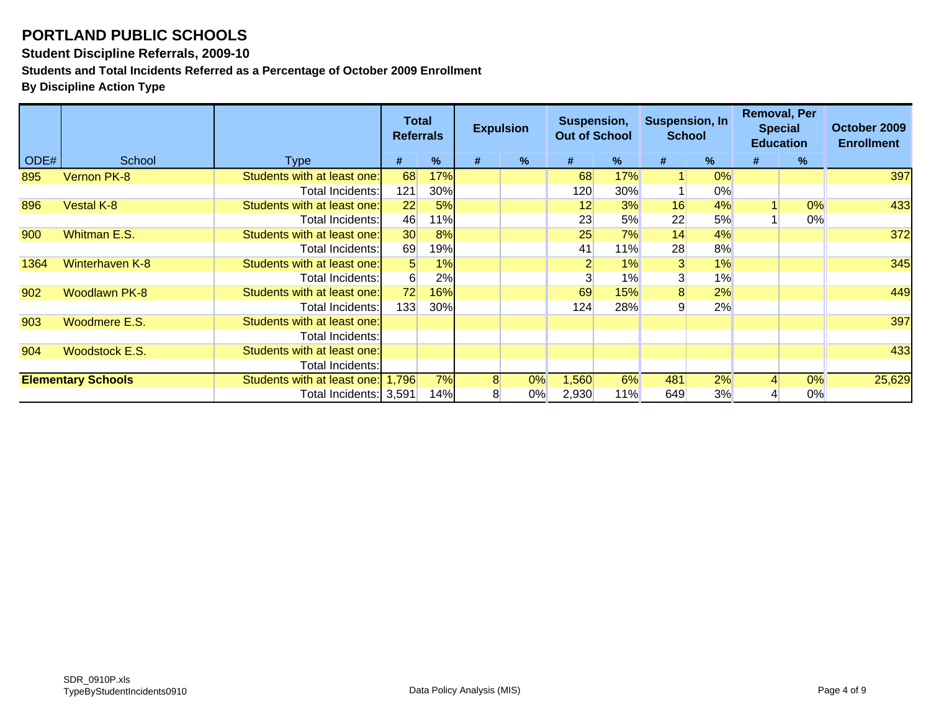#### **Student Discipline Referrals, 2009-10**

**Students and Total Incidents Referred as a Percentage of October 2009 Enrollment**

|      |                           |                                                                                                | Total<br><b>Referrals</b> |             |        | <b>Expulsion</b> | Suspension,<br><b>Out of School</b> |      | <b>Suspension, In</b><br><b>School</b> |       | <b>Removal, Per</b><br><b>Special</b><br><b>Education</b> |    | October 2009<br><b>Enrollment</b> |
|------|---------------------------|------------------------------------------------------------------------------------------------|---------------------------|-------------|--------|------------------|-------------------------------------|------|----------------------------------------|-------|-----------------------------------------------------------|----|-----------------------------------|
| ODE# | School                    | Type                                                                                           | #                         | %           | #      | $\%$             | #                                   | $\%$ | #                                      | $\%$  | #                                                         | %  |                                   |
| 895  | Vernon PK-8               | Students with at least one:                                                                    | 68                        | 17%         |        |                  | 68                                  | 17%  |                                        | 0%    |                                                           |    | 397                               |
|      |                           | Total Incidents:                                                                               | 121                       | 30%         |        |                  | 120                                 | 30%  |                                        | $0\%$ |                                                           |    |                                   |
| 896  | <b>Vestal K-8</b>         | Students with at least one:                                                                    | 22                        | 5%          |        |                  | 12                                  | 3%   | 16                                     | 4%    |                                                           | 0% | 433                               |
|      |                           | Total Incidents:                                                                               | 46                        | 11% $\vert$ |        |                  | 23                                  | 5%   | 22                                     | 5%    |                                                           | 0% |                                   |
| 900  | Whitman E.S.              | Students with at least one:                                                                    | 30 <sup>°</sup>           | 8%          |        |                  | 25                                  | 7%   | 14                                     | 4%    |                                                           |    | 372                               |
|      |                           | Total Incidents:                                                                               | 69                        | 19%         |        |                  | 41                                  | 11%  | 28                                     | 8%    |                                                           |    |                                   |
| 1364 | <b>Winterhaven K-8</b>    | Students with at least one:                                                                    | 5 <sup>1</sup>            | 1%          |        |                  |                                     | 1%   | $\overline{3}$                         | 1%    |                                                           |    | 345                               |
|      |                           | Total Incidents:                                                                               | 6 <sup>1</sup>            | 2%          |        |                  |                                     | 1%   | 3                                      | 1%    |                                                           |    |                                   |
| 902  | <b>Woodlawn PK-8</b>      | Students with at least one:                                                                    | 72                        | 16%         |        |                  | 69                                  | 15%  | 8                                      | 2%    |                                                           |    | 449                               |
|      |                           | Total Incidents:                                                                               | 133                       | 30%         |        |                  | 124                                 | 28%  |                                        | 2%    |                                                           |    |                                   |
| 903  | Woodmere E.S.             | Students with at least one:                                                                    |                           |             |        |                  |                                     |      |                                        |       |                                                           |    | 397                               |
|      |                           | Total Incidents:                                                                               |                           |             |        |                  |                                     |      |                                        |       |                                                           |    |                                   |
| 904  | <b>Woodstock E.S.</b>     | Students with at least one:                                                                    |                           |             |        |                  |                                     |      |                                        |       |                                                           |    | 433                               |
|      |                           | Total Incidents:                                                                               |                           |             |        |                  |                                     |      |                                        |       |                                                           |    |                                   |
|      | <b>Elementary Schools</b> | 7%<br>6%<br>481<br>2%<br>Students with at least one:<br>8 <sup>1</sup><br>0%<br>1,560<br>1.796 |                           | 0%          | 25,629 |                  |                                     |      |                                        |       |                                                           |    |                                   |
|      |                           | Total Incidents: 3,591                                                                         |                           | 14%         | 8      | 0%               | 2,930                               | 11%  | 649                                    | 3%    |                                                           | 0% |                                   |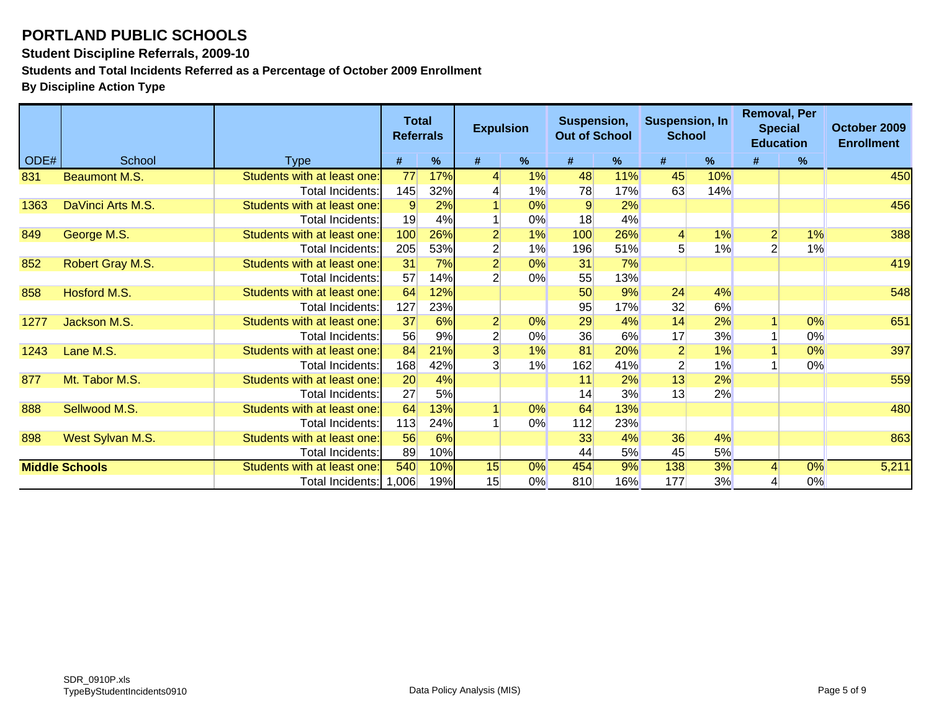**Student Discipline Referrals, 2009-10**

**Students and Total Incidents Referred as a Percentage of October 2009 Enrollment**

|      |                       |                             | <b>Total</b><br><b>Referrals</b> |     | <b>Expulsion</b> |               | Suspension,<br><b>Out of School</b> |     | <b>Suspension, In</b><br><b>School</b> |     | <b>Removal, Per</b><br><b>Education</b> | <b>Special</b> | October 2009<br><b>Enrollment</b> |
|------|-----------------------|-----------------------------|----------------------------------|-----|------------------|---------------|-------------------------------------|-----|----------------------------------------|-----|-----------------------------------------|----------------|-----------------------------------|
| ODE# | School                | <b>Type</b>                 | #                                | %   | #                | $\frac{9}{6}$ | #                                   | %   | #                                      | %   | #                                       | $\%$           |                                   |
| 831  | <b>Beaumont M.S.</b>  | Students with at least one: | 77                               | 17% | 4                | 1%            | 48                                  | 11% | 45                                     | 10% |                                         |                | 450                               |
|      |                       | Total Incidents:            | 145                              | 32% |                  | 1%            | 78                                  | 17% | 63                                     | 14% |                                         |                |                                   |
| 1363 | DaVinci Arts M.S.     | Students with at least one: | 9                                | 2%  |                  | 0%            | 9                                   | 2%  |                                        |     |                                         |                | 456                               |
|      |                       | Total Incidents:            | 19                               | 4%  |                  | 0%            | 18                                  | 4%  |                                        |     |                                         |                |                                   |
| 849  | George M.S.           | Students with at least one: | 100                              | 26% | $\overline{2}$   | 1%            | 100                                 | 26% | $\overline{4}$                         | 1%  |                                         | 1%             | 388                               |
|      |                       | Total Incidents:            | 205                              | 53% | $\overline{2}$   | 1%            | 196                                 | 51% | 5                                      | 1%  |                                         | 1%             |                                   |
| 852  | Robert Gray M.S.      | Students with at least one: | 31                               | 7%  | $\overline{2}$   | 0%            | 31                                  | 7%  |                                        |     |                                         |                | 419                               |
|      |                       | Total Incidents:            | 57                               | 14% | $\overline{2}$   | 0%            | 55                                  | 13% |                                        |     |                                         |                |                                   |
| 858  | Hosford M.S.          | Students with at least one: | 64                               | 12% |                  |               | 50                                  | 9%  | 24                                     | 4%  |                                         |                | 548                               |
|      |                       | Total Incidents:            | 127                              | 23% |                  |               | 95                                  | 17% | 32                                     | 6%  |                                         |                |                                   |
| 1277 | Jackson M.S.          | Students with at least one: | 37                               | 6%  | $\overline{2}$   | 0%            | 29                                  | 4%  | 14                                     | 2%  |                                         | 0%             | 651                               |
|      |                       | Total Incidents:            | 56                               | 9%  | $\overline{2}$   | $0\%$         | 36                                  | 6%  | 17                                     | 3%  |                                         | 0%             |                                   |
| 1243 | Lane M.S.             | Students with at least one: | 84                               | 21% | $\overline{3}$   | 1%            | 81                                  | 20% | $\overline{2}$                         | 1%  |                                         | 0%             | 397                               |
|      |                       | Total Incidents:            | 168                              | 42% | $\overline{3}$   | 1%            | 162                                 | 41% | $\overline{c}$                         | 1%  |                                         | 0%             |                                   |
| 877  | Mt. Tabor M.S.        | Students with at least one: | 20                               | 4%  |                  |               | 11                                  | 2%  | 13                                     | 2%  |                                         |                | 559                               |
|      |                       | <b>Total Incidents:</b>     | 27                               | 5%  |                  |               | 14                                  | 3%  | 13                                     | 2%  |                                         |                |                                   |
| 888  | Sellwood M.S.         | Students with at least one: | 64                               | 13% |                  | 0%            | 64                                  | 13% |                                        |     |                                         |                | 480                               |
|      |                       | Total Incidents:            | 113                              | 24% |                  | 0%            | 112                                 | 23% |                                        |     |                                         |                |                                   |
| 898  | West Sylvan M.S.      | Students with at least one: | 56                               | 6%  |                  |               | 33                                  | 4%  | 36                                     | 4%  |                                         |                | 863                               |
|      |                       | Total Incidents:            | 89                               | 10% |                  |               | 44                                  | 5%  | 45                                     | 5%  |                                         |                |                                   |
|      | <b>Middle Schools</b> | Students with at least one: | 540                              | 10% | 15               | 0%            | 454                                 | 9%  | 138                                    | 3%  |                                         | 0%             | 5,211                             |
|      |                       | Total Incidents: 1,006      |                                  | 19% | 15               | $0\%$         | 810                                 | 16% | 177                                    | 3%  |                                         | 0%             |                                   |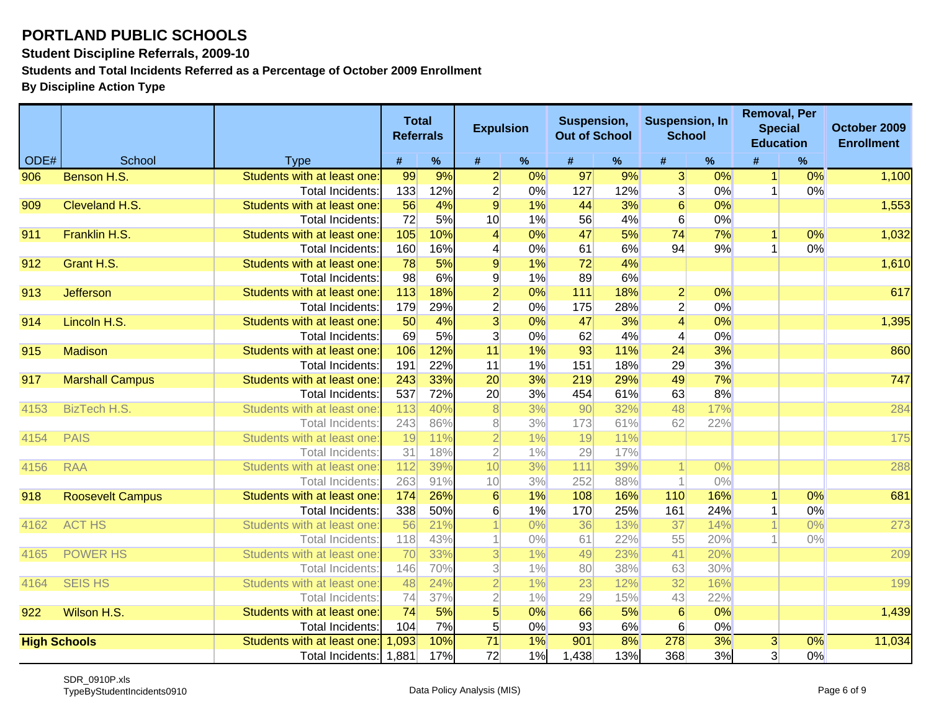**Student Discipline Referrals, 2009-10**

**Students and Total Incidents Referred as a Percentage of October 2009 Enrollment**

|      |                         |                                                        | <b>Total</b><br><b>Referrals</b> |            | <b>Expulsion</b>         |          | Suspension,<br><b>Out of School</b> |            | <b>Suspension, In</b><br><b>School</b> |          |                | <b>Removal, Per</b><br><b>Special</b><br><b>Education</b> | October 2009<br><b>Enrollment</b> |
|------|-------------------------|--------------------------------------------------------|----------------------------------|------------|--------------------------|----------|-------------------------------------|------------|----------------------------------------|----------|----------------|-----------------------------------------------------------|-----------------------------------|
| ODE# | School                  | <b>Type</b>                                            | #                                | %          | #                        | %        | #                                   | %          | #                                      | %        | #              | %                                                         |                                   |
| 906  | Benson H.S.             | Students with at least one                             | 99                               | 9%         | $\overline{2}$           | 0%       | 97                                  | 9%         | $\overline{3}$                         | 0%       | 1 <sup>1</sup> | 0%                                                        | 1,100                             |
|      |                         | Total Incidents:                                       | 133                              | 12%        | $\mathbf{2}$             | 0%       | 127                                 | 12%        | $\overline{3}$                         | 0%       |                | 0%                                                        |                                   |
| 909  | Cleveland H.S.          | Students with at least one:                            | 56                               | 4%         | $\overline{9}$           | 1%       | 44                                  | 3%         | $\overline{6}$                         | 0%       |                |                                                           | 1,553                             |
|      |                         | <b>Total Incidents:</b>                                | 72                               | 5%         | 10                       | 1%       | 56                                  | 4%         | $6 \overline{}$                        | 0%       |                |                                                           |                                   |
| 911  | Franklin H.S.           | Students with at least one:                            | 105                              | 10%        | $\vert 4 \vert$          | 0%       | 47                                  | 5%         | 74                                     | 7%       |                | 0%                                                        | 1,032                             |
|      |                         | Total Incidents:                                       | 160                              | 16%        | 4                        | 0%       | 61                                  | 6%         | 94                                     | 9%       |                | 0%                                                        |                                   |
| 912  | Grant H.S.              | Students with at least one:                            | 78                               | 5%         | $\overline{9}$           | 1%       | 72                                  | 4%         |                                        |          |                |                                                           | 1,610                             |
|      |                         | Total Incidents:                                       | 98                               | 6%         | $\mathsf{g}$             | 1%       | 89                                  | 6%         |                                        |          |                |                                                           |                                   |
| 913  | <b>Jefferson</b>        | Students with at least one:                            | 113                              | 18%        | $\overline{2}$           | 0%       | 111                                 | 18%        | $\overline{2}$                         | 0%       |                |                                                           | 617                               |
|      |                         | Total Incidents:                                       | 179                              | 29%        | $\overline{2}$           | 0%       | 175                                 | 28%        | $\overline{2}$                         | 0%       |                |                                                           |                                   |
| 914  | Lincoln H.S.            | Students with at least one:                            | 50                               | 4%         | $\overline{3}$           | 0%       | 47                                  | 3%         | $\overline{4}$                         | 0%       |                |                                                           | 1,395                             |
|      |                         | Total Incidents:                                       | 69                               | 5%         | $\overline{3}$           | 0%       | 62                                  | 4%         | $\overline{4}$                         | 0%       |                |                                                           |                                   |
| 915  | <b>Madison</b>          | Students with at least one:                            | 106<br>191                       | 12%        | 11<br>11                 | 1%       | 93                                  | 11%<br>18% | 24                                     | 3%<br>3% |                |                                                           | 860                               |
| 917  | <b>Marshall Campus</b>  | <b>Total Incidents:</b><br>Students with at least one: | 243                              | 22%<br>33% | 20                       | 1%<br>3% | 151<br>219                          | 29%        | 29<br>49                               | 7%       |                |                                                           | 747                               |
|      |                         | <b>Total Incidents:</b>                                | 537                              | 72%        | 20                       | 3%       | 454                                 | 61%        | 63                                     | 8%       |                |                                                           |                                   |
| 4153 | <b>BizTech H.S.</b>     | Students with at least one                             | 113                              | 40%        | $\lvert 8 \rvert$        | 3%       | 90                                  | 32%        | 48                                     | 17%      |                |                                                           | 284                               |
|      |                         | Total Incidents:                                       | 243                              | 86%        | 8 <sup>1</sup>           | 3%       | 173                                 | 61%        | 62                                     | 22%      |                |                                                           |                                   |
| 4154 | <b>PAIS</b>             | Students with at least one                             | 19                               | 11%        | $\overline{2}$           | 1%       | 19                                  | 11%        |                                        |          |                |                                                           | 175                               |
|      |                         | Total Incidents:                                       | 31                               | 18%        | $\overline{2}$           | $1\%$    | 29                                  | 17%        |                                        |          |                |                                                           |                                   |
| 4156 | <b>RAA</b>              | Students with at least one                             | 112                              | 39%        | 10                       | 3%       | 111                                 | 39%        |                                        | $0\%$    |                |                                                           | 288                               |
|      |                         | <b>Total Incidents</b>                                 | 263                              | 91%        | 10                       | 3%       | 252                                 | 88%        |                                        | $0\%$    |                |                                                           |                                   |
| 918  | <b>Roosevelt Campus</b> | Students with at least one                             | 174                              | 26%        | $6\phantom{1}6$          | 1%       | 108                                 | 16%        | 110                                    | 16%      |                | 0%                                                        | 681                               |
|      |                         | Total Incidents:                                       | 338                              | 50%        | $6 \mid$                 | 1%       | 170                                 | 25%        | 161                                    | 24%      |                | 0%                                                        |                                   |
| 4162 | <b>ACT HS</b>           | Students with at least one                             | 56                               | 21%        |                          | $0\%$    | 36                                  | 13%        | 37                                     | 14%      |                | 0%                                                        | 273                               |
|      |                         | Total Incidents:                                       | 118                              | 43%        |                          | $0\%$    | 61                                  | 22%        | 55                                     | 20%      |                | $0\%$                                                     |                                   |
| 4165 | <b>POWER HS</b>         | Students with at least one                             | 70                               | 33%        | $\overline{3}$           | 1%       | 49                                  | 23%        | 41                                     | 20%      |                |                                                           | 209                               |
|      |                         | Total Incidents:                                       | 146                              | 70%        | $\overline{\mathcal{E}}$ | 1%       | 80                                  | 38%        | 63                                     | 30%      |                |                                                           |                                   |
| 4164 | <b>SEIS HS</b>          | Students with at least one                             | 48                               | 24%        | $\overline{2}$           | 1%       | 23                                  | 12%        | 32                                     | 16%      |                |                                                           | 199                               |
|      |                         | Total Incidents:                                       | 74                               | 37%        | $\overline{2}$           | 1%       | 29                                  | 15%        | 43                                     | 22%      |                |                                                           |                                   |
| 922  | Wilson H.S.             | Students with at least one:                            | 74                               | 5%         | $\overline{5}$           | 0%       | 66                                  | 5%         | 6                                      | 0%       |                |                                                           | 1,439                             |
|      |                         | <b>Total Incidents:</b>                                | 104                              | 7%         | 5 <sup>1</sup>           | 0%       | 93                                  | 6%         | 6                                      | 0%       |                |                                                           |                                   |
|      | <b>High Schools</b>     | Students with at least one:                            | 1,093                            | 10%        | $\overline{71}$          | $1\%$    | 901                                 | 8%         | 278                                    | 3%       | $\overline{3}$ | $\overline{0\%}$                                          | 11,034                            |
|      |                         | Total Incidents: 1,881                                 |                                  | 17%        | 72                       | 1%       | 1,438                               | 13%        | 368                                    | 3%       | 3 <sup>1</sup> | 0%                                                        |                                   |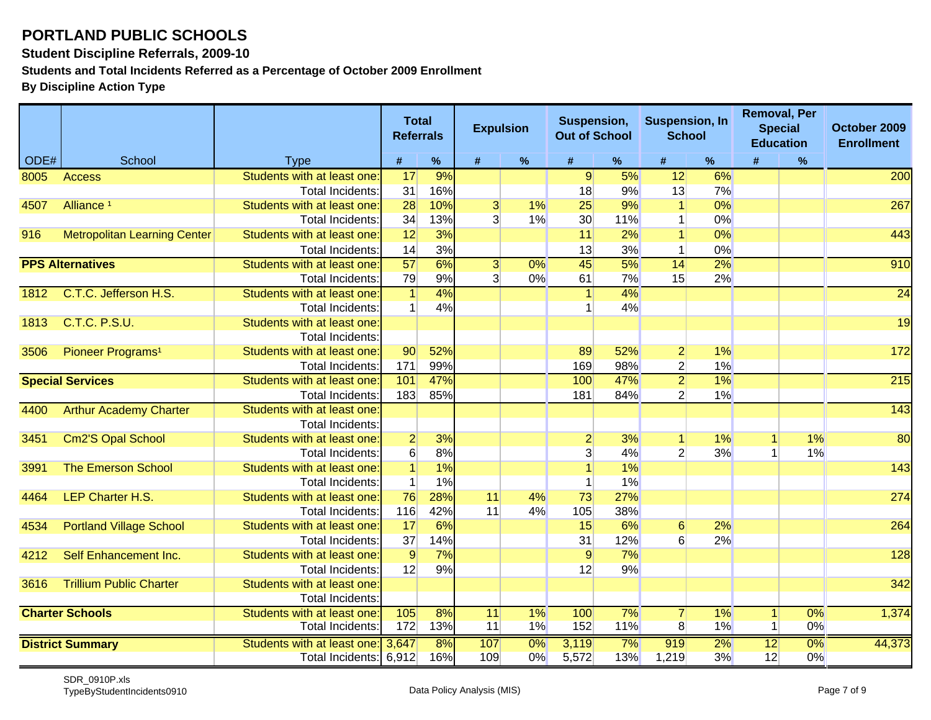#### **Student Discipline Referrals, 2009-10**

**Students and Total Incidents Referred as a Percentage of October 2009 Enrollment**

|      |                                     |                                                        | <b>Referrals</b> | <b>Total</b> | <b>Expulsion</b>        |             | Suspension,<br><b>Out of School</b> |                  | <b>Suspension, In</b><br><b>School</b> |          | <b>Removal, Per</b><br><b>Education</b> | <b>Special</b> | October 2009<br><b>Enrollment</b> |
|------|-------------------------------------|--------------------------------------------------------|------------------|--------------|-------------------------|-------------|-------------------------------------|------------------|----------------------------------------|----------|-----------------------------------------|----------------|-----------------------------------|
| ODE# | School                              | <b>Type</b>                                            | #                | $\%$         | #                       | $\%$        | #                                   | $\%$             | #                                      | %        | #                                       | $\%$           |                                   |
| 8005 | <b>Access</b>                       | Students with at least one:                            | 17               | 9%           |                         |             | $\overline{9}$                      | 5%               | 12                                     | 6%       |                                         |                | 200                               |
|      |                                     | <b>Total Incidents:</b>                                | 31               | 16%          |                         |             | 18                                  | 9%               | 13                                     | 7%       |                                         |                |                                   |
| 4507 | Alliance <sup>1</sup>               | Students with at least one:                            | 28               | 10%          | $\overline{\mathbf{3}}$ | 1%          | 25                                  | 9%               |                                        | 0%       |                                         |                | 267                               |
|      |                                     | <b>Total Incidents:</b>                                | 34               | 13%          | 3 <sup>1</sup>          | 1%          | 30                                  | 11%              |                                        | 0%       |                                         |                |                                   |
| 916  | <b>Metropolitan Learning Center</b> | Students with at least one:                            | 12               | 3%           |                         |             | 11                                  | 2%               |                                        | 0%       |                                         |                | 443                               |
|      |                                     | Total Incidents:                                       | 14               | 3%           |                         |             | 13                                  | 3%               |                                        | 0%       |                                         |                |                                   |
|      | <b>PPS Alternatives</b>             | Students with at least one:                            | $\overline{57}$  | 6%           | $\overline{3}$          | $0\%$       | 45                                  | $\overline{5\%}$ | 14                                     | 2%       |                                         |                | 910                               |
|      |                                     | <b>Total Incidents:</b>                                | 79               | 9%           | 3                       | 0%          | 61                                  | 7%               | 15                                     | 2%       |                                         |                |                                   |
| 1812 | C.T.C. Jefferson H.S.               | Students with at least one:                            | $\vert$          | 4%           |                         |             |                                     | 4%               |                                        |          |                                         |                | $\overline{24}$                   |
|      |                                     | Total Incidents:                                       |                  | 4%           |                         |             |                                     | 4%               |                                        |          |                                         |                |                                   |
| 1813 | <b>C.T.C. P.S.U.</b>                | Students with at least one:                            |                  |              |                         |             |                                     |                  |                                        |          |                                         |                | 19                                |
|      |                                     | <b>Total Incidents:</b>                                |                  |              |                         |             |                                     |                  |                                        |          |                                         |                |                                   |
| 3506 | Pioneer Programs <sup>1</sup>       | Students with at least one:                            | 90               | 52%          |                         |             | 89                                  | 52%              | $\mathbf{2}$                           | 1%       |                                         |                | 172                               |
|      |                                     | Total Incidents:                                       | 171              | 99%          |                         |             | 169                                 | 98%              | $\overline{2}$                         | 1%       |                                         |                |                                   |
|      | <b>Special Services</b>             | Students with at least one:                            | 101              | 47%          |                         |             | 100                                 | 47%              | $\overline{2}$                         | $1\%$    |                                         |                | $\overline{215}$                  |
|      |                                     | <b>Total Incidents:</b>                                | 183              | 85%          |                         |             | 181                                 | 84%              | $\overline{2}$                         | 1%       |                                         |                |                                   |
| 4400 | <b>Arthur Academy Charter</b>       | Students with at least one:                            |                  |              |                         |             |                                     |                  |                                        |          |                                         |                | $\overline{143}$                  |
|      |                                     | <b>Total Incidents:</b>                                |                  |              |                         |             |                                     |                  |                                        |          |                                         |                |                                   |
| 3451 | Cm2'S Opal School                   | Students with at least one:                            | $\overline{2}$   | 3%           |                         |             | $\overline{2}$                      | 3%               | 1 <sup>1</sup>                         | 1%       |                                         | 1%             | 80                                |
|      |                                     | <b>Total Incidents:</b>                                | $\overline{6}$   | 8%           |                         |             |                                     | 4%               | $\overline{2}$                         | 3%       |                                         | 1%             |                                   |
| 3991 | <b>The Emerson School</b>           | Students with at least one:                            | $\vert$          | 1%           |                         |             |                                     | 1%               |                                        |          |                                         |                | 143                               |
|      |                                     | <b>Total Incidents:</b>                                | $\mathbf 1$      | 1%           |                         |             |                                     | 1%               |                                        |          |                                         |                |                                   |
| 4464 | LEP Charter H.S.                    | Students with at least one:                            | 76               | 28%          | 11                      | 4%          | 73                                  | 27%              |                                        |          |                                         |                | 274                               |
|      |                                     | Total Incidents:                                       | 116              | 42%          | 11                      | 4%          | 105                                 | 38%              |                                        |          |                                         |                |                                   |
| 4534 | <b>Portland Village School</b>      | Students with at least one:                            | 17               | 6%           |                         |             | 15                                  | 6%               | $6 \overline{6}$                       | 2%       |                                         |                | 264                               |
|      |                                     | <b>Total Incidents:</b>                                | 37               | 14%          |                         |             | 31                                  | 12%              | 6                                      | 2%       |                                         |                |                                   |
| 4212 | Self Enhancement Inc.               | Students with at least one:                            | 9                | 7%           |                         |             | 9                                   | 7%               |                                        |          |                                         |                | 128                               |
|      |                                     | Total Incidents:                                       | 12               | 9%           |                         |             | 12                                  | 9%               |                                        |          |                                         |                |                                   |
| 3616 | <b>Trillium Public Charter</b>      | Students with at least one:<br><b>Total Incidents:</b> |                  |              |                         |             |                                     |                  |                                        |          |                                         |                | 342                               |
|      | <b>Charter Schools</b>              | Students with at least one:                            | 105              | 8%           | $\overline{11}$         | $1\%$       | 100                                 | 7%               |                                        | $1\%$    |                                         | $0\%$          | 1,374                             |
|      |                                     | <b>Total Incidents:</b>                                | 172              | 13%          | 11                      | 1%          | 152                                 | 11%              | $\overline{7}$<br>$\overline{8}$       | 1%       | $\mathbf 1$<br>$\mathbf{1}$             | 0%             |                                   |
|      |                                     |                                                        |                  |              |                         |             |                                     |                  |                                        |          |                                         |                |                                   |
|      | <b>District Summary</b>             | Students with at least one:<br>Total Incidents: 6,912  | 3,647            | 8%<br>16%    | 107<br>109              | $0\%$<br>0% | 3,119<br>5,572                      | 7%<br>13%        | 919<br>1,219                           | 2%<br>3% | 12<br>12                                | 0%<br>0%       | 44,373                            |